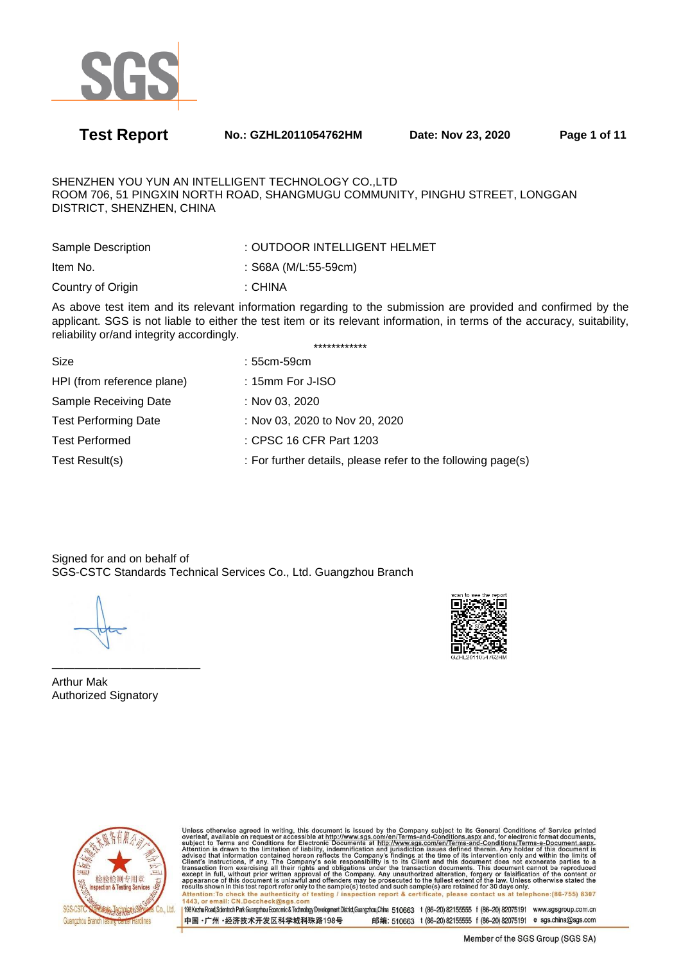

**Test Report No.: GZHL2011054762HM Date: Nov 23, 2020 Page 1 of 11** 

SHENZHEN YOU YUN AN INTELLIGENT TECHNOLOGY CO.,LTD ROOM 706, 51 PINGXIN NORTH ROAD, SHANGMUGU COMMUNITY, PINGHU STREET, LONGGAN DISTRICT, SHENZHEN, CHINA

| Sample Description | : OUTDOOR INTELLIGENT HELMET |
|--------------------|------------------------------|
| Item No.           | : S68A (M/L:55-59cm)         |
| Country of Origin  | : CHINA                      |

As above test item and its relevant information regarding to the submission are provided and confirmed by the applicant. SGS is not liable to either the test item or its relevant information, in terms of the accuracy, suitability, reliability or/and integrity accordingly. \*\*\*\*\*\*\*\*\*\*\*\*

| Size                        | : 55cm-59cm                                                  |
|-----------------------------|--------------------------------------------------------------|
| HPI (from reference plane)  | $: 15$ mm For J-ISO                                          |
| Sample Receiving Date       | : Nov 03, 2020                                               |
| <b>Test Performing Date</b> | : Nov 03, 2020 to Nov 20, 2020                               |
| <b>Test Performed</b>       | : CPSC 16 CFR Part 1203                                      |
| Test Result(s)              | : For further details, please refer to the following page(s) |

Signed for and on behalf of SGS-CSTC Standards Technical Services Co., Ltd. Guangzhou Branch

————————————— Arthur Mak Authorized Signatory



Unless otherwise agreed in writing, this document is issued by the Company subject to its General Conditions of Service printed<br>overleaf, available on request or accessible at http://www.sgs.com/en/Terms-and-Conditions.asp Attention: To check the authenticity of testing / inspection report & certificate, please contact us at telephone: (86-755) 8307<br>1443, or email: CN.Doccheck@sqs.com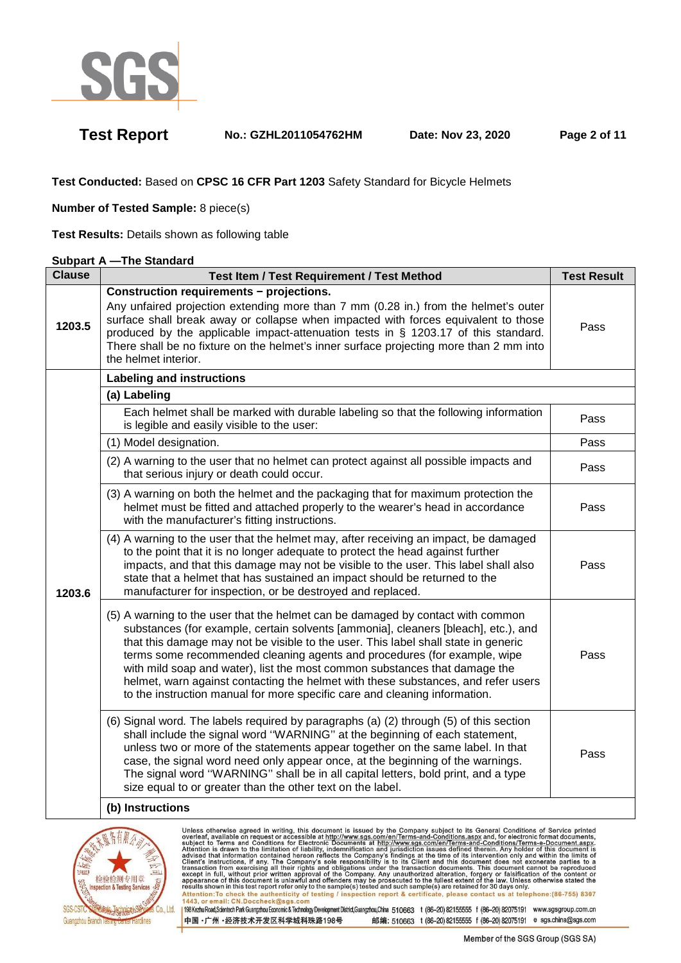

**Test Report No.: GZHL2011054762HM Date: Nov 23, 2020 Page 2 of 11** 

**Test Conducted:** Based on **CPSC 16 CFR Part 1203** Safety Standard for Bicycle Helmets

**Number of Tested Sample:** 8 piece(s)

**Test Results:** Details shown as following table

## **Subpart A —The Standard**

| <b>Clause</b> | <b>Test Item / Test Requirement / Test Method</b>                                                                                                                                                                                                                                                                                                                                                                                                                                                                                                                                        | <b>Test Result</b> |
|---------------|------------------------------------------------------------------------------------------------------------------------------------------------------------------------------------------------------------------------------------------------------------------------------------------------------------------------------------------------------------------------------------------------------------------------------------------------------------------------------------------------------------------------------------------------------------------------------------------|--------------------|
| 1203.5        | Construction requirements - projections.<br>Any unfaired projection extending more than 7 mm (0.28 in.) from the helmet's outer<br>surface shall break away or collapse when impacted with forces equivalent to those<br>produced by the applicable impact-attenuation tests in § 1203.17 of this standard.<br>There shall be no fixture on the helmet's inner surface projecting more than 2 mm into<br>the helmet interior.                                                                                                                                                            | Pass               |
|               | <b>Labeling and instructions</b>                                                                                                                                                                                                                                                                                                                                                                                                                                                                                                                                                         |                    |
|               | (a) Labeling                                                                                                                                                                                                                                                                                                                                                                                                                                                                                                                                                                             |                    |
|               | Each helmet shall be marked with durable labeling so that the following information<br>is legible and easily visible to the user:                                                                                                                                                                                                                                                                                                                                                                                                                                                        | Pass               |
|               | (1) Model designation.                                                                                                                                                                                                                                                                                                                                                                                                                                                                                                                                                                   | Pass               |
|               | (2) A warning to the user that no helmet can protect against all possible impacts and<br>that serious injury or death could occur.                                                                                                                                                                                                                                                                                                                                                                                                                                                       | Pass               |
| 1203.6        | (3) A warning on both the helmet and the packaging that for maximum protection the<br>helmet must be fitted and attached properly to the wearer's head in accordance<br>with the manufacturer's fitting instructions.                                                                                                                                                                                                                                                                                                                                                                    | Pass               |
|               | (4) A warning to the user that the helmet may, after receiving an impact, be damaged<br>to the point that it is no longer adequate to protect the head against further<br>impacts, and that this damage may not be visible to the user. This label shall also<br>state that a helmet that has sustained an impact should be returned to the<br>manufacturer for inspection, or be destroyed and replaced.                                                                                                                                                                                | Pass               |
|               | (5) A warning to the user that the helmet can be damaged by contact with common<br>substances (for example, certain solvents [ammonia], cleaners [bleach], etc.), and<br>that this damage may not be visible to the user. This label shall state in generic<br>terms some recommended cleaning agents and procedures (for example, wipe<br>with mild soap and water), list the most common substances that damage the<br>helmet, warn against contacting the helmet with these substances, and refer users<br>to the instruction manual for more specific care and cleaning information. | Pass               |
|               | (6) Signal word. The labels required by paragraphs (a) (2) through (5) of this section<br>shall include the signal word "WARNING" at the beginning of each statement,<br>unless two or more of the statements appear together on the same label. In that<br>case, the signal word need only appear once, at the beginning of the warnings.<br>The signal word "WARNING" shall be in all capital letters, bold print, and a type<br>size equal to or greater than the other text on the label.                                                                                            | Pass               |
|               | (b) Instructions                                                                                                                                                                                                                                                                                                                                                                                                                                                                                                                                                                         |                    |

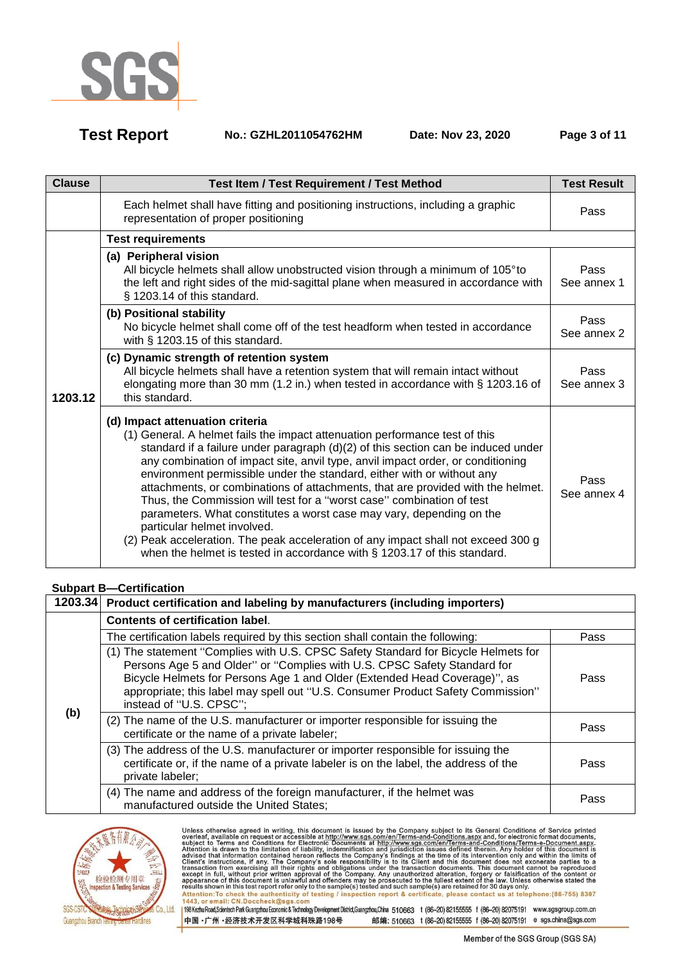

**Test Report No.: GZHL2011054762HM Date: Nov 23, 2020 Page 3 of 11** 

| <b>Clause</b> | <b>Test Item / Test Requirement / Test Method</b>                                                                                                                                                                                                                                                                                                                                                                                                                                                                                                                                                                                                                                                                                                                                                      | <b>Test Result</b>  |
|---------------|--------------------------------------------------------------------------------------------------------------------------------------------------------------------------------------------------------------------------------------------------------------------------------------------------------------------------------------------------------------------------------------------------------------------------------------------------------------------------------------------------------------------------------------------------------------------------------------------------------------------------------------------------------------------------------------------------------------------------------------------------------------------------------------------------------|---------------------|
|               | Each helmet shall have fitting and positioning instructions, including a graphic<br>representation of proper positioning                                                                                                                                                                                                                                                                                                                                                                                                                                                                                                                                                                                                                                                                               | Pass                |
|               | <b>Test requirements</b>                                                                                                                                                                                                                                                                                                                                                                                                                                                                                                                                                                                                                                                                                                                                                                               |                     |
|               | (a) Peripheral vision<br>All bicycle helmets shall allow unobstructed vision through a minimum of 105° to<br>the left and right sides of the mid-sagittal plane when measured in accordance with<br>§ 1203.14 of this standard.                                                                                                                                                                                                                                                                                                                                                                                                                                                                                                                                                                        | Pass<br>See annex 1 |
|               | (b) Positional stability<br>No bicycle helmet shall come off of the test headform when tested in accordance<br>with § 1203.15 of this standard.                                                                                                                                                                                                                                                                                                                                                                                                                                                                                                                                                                                                                                                        | Pass<br>See annex 2 |
| 1203.12       | (c) Dynamic strength of retention system<br>All bicycle helmets shall have a retention system that will remain intact without<br>elongating more than 30 mm (1.2 in.) when tested in accordance with § 1203.16 of<br>this standard.                                                                                                                                                                                                                                                                                                                                                                                                                                                                                                                                                                    | Pass<br>See annex 3 |
|               | (d) Impact attenuation criteria<br>(1) General. A helmet fails the impact attenuation performance test of this<br>standard if a failure under paragraph $(d)(2)$ of this section can be induced under<br>any combination of impact site, anvil type, anvil impact order, or conditioning<br>environment permissible under the standard, either with or without any<br>attachments, or combinations of attachments, that are provided with the helmet.<br>Thus, the Commission will test for a "worst case" combination of test<br>parameters. What constitutes a worst case may vary, depending on the<br>particular helmet involved.<br>(2) Peak acceleration. The peak acceleration of any impact shall not exceed 300 g<br>when the helmet is tested in accordance with § 1203.17 of this standard. | Pass<br>See annex 4 |

## **Subpart B—Certification**

|     | 1203.34 Product certification and labeling by manufacturers (including importers)                                                                                                                                                                                                                                                                         |      |  |  |
|-----|-----------------------------------------------------------------------------------------------------------------------------------------------------------------------------------------------------------------------------------------------------------------------------------------------------------------------------------------------------------|------|--|--|
|     | <b>Contents of certification label.</b>                                                                                                                                                                                                                                                                                                                   |      |  |  |
|     | The certification labels required by this section shall contain the following:                                                                                                                                                                                                                                                                            | Pass |  |  |
|     | (1) The statement "Complies with U.S. CPSC Safety Standard for Bicycle Helmets for<br>Persons Age 5 and Older" or "Complies with U.S. CPSC Safety Standard for<br>Bicycle Helmets for Persons Age 1 and Older (Extended Head Coverage)", as<br>appropriate; this label may spell out "U.S. Consumer Product Safety Commission"<br>instead of "U.S. CPSC"; | Pass |  |  |
| (b) | (2) The name of the U.S. manufacturer or importer responsible for issuing the<br>certificate or the name of a private labeler;                                                                                                                                                                                                                            | Pass |  |  |
|     | (3) The address of the U.S. manufacturer or importer responsible for issuing the<br>certificate or, if the name of a private labeler is on the label, the address of the<br>private labeler;                                                                                                                                                              | Pass |  |  |
|     | (4) The name and address of the foreign manufacturer, if the helmet was<br>manufactured outside the United States;                                                                                                                                                                                                                                        | Pass |  |  |

中国·广州·经济技术开发区科学城科珠路198号



Unless otherwise agreed in writing, this document is issued by the Company subject to its General Conditions of Service printed<br>overleaf, available on request or accessible at http://www.sgs.com/en/Terms-and-Conditions.asp Passission in this essent point of the samplets) issued and such samplets are retained to so days only the samplet of the authenticity of testing / inspection report & certificate, please contact us at telephone: (86-755) 198 Kezhu Road,Scientech Park Guangzhou Economic & Technology Development District,Guangzhou,China 510663 t (86-20) 82155555 f (86-20) 82075191 www.sgsgroup.com.cn

Member of the SGS Group (SGS SA)

邮编: 510663 t (86-20) 82155555 f (86-20) 82075191 e sgs.china@sgs.com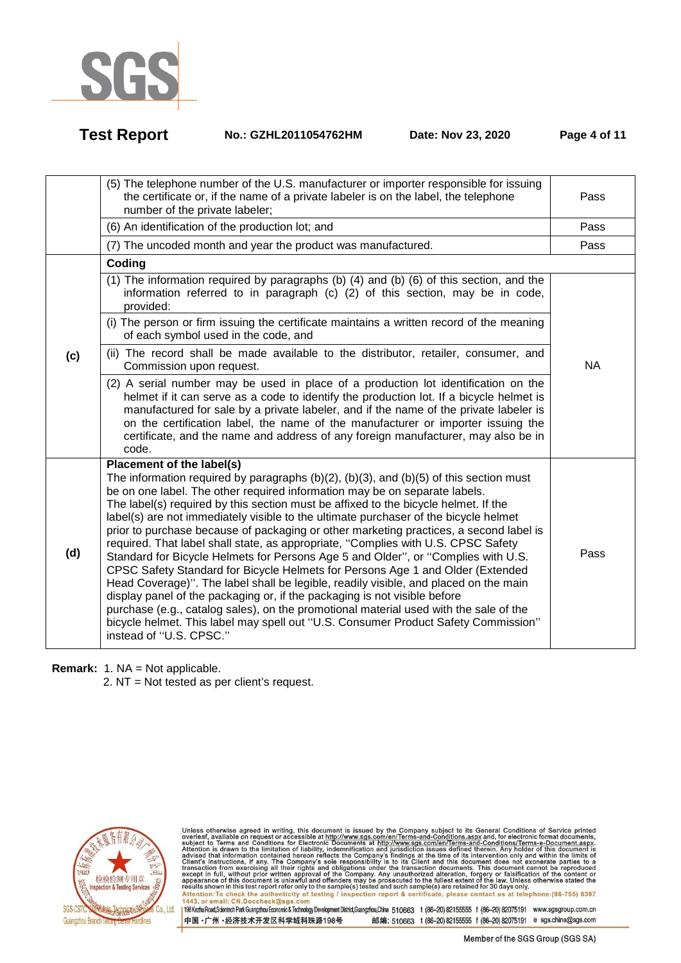

**Test Report No.: GZHL2011054762HM Date: Nov 23, 2020 Page 4 of 11** 

|     | (5) The telephone number of the U.S. manufacturer or importer responsible for issuing<br>the certificate or, if the name of a private labeler is on the label, the telephone<br>number of the private labeler;                                                                                                                                                                                                                                                                                                                                                                                                                                                                                                                                                                                                                                                                                                                                                                                                                                                                                                                | Pass      |
|-----|-------------------------------------------------------------------------------------------------------------------------------------------------------------------------------------------------------------------------------------------------------------------------------------------------------------------------------------------------------------------------------------------------------------------------------------------------------------------------------------------------------------------------------------------------------------------------------------------------------------------------------------------------------------------------------------------------------------------------------------------------------------------------------------------------------------------------------------------------------------------------------------------------------------------------------------------------------------------------------------------------------------------------------------------------------------------------------------------------------------------------------|-----------|
|     | (6) An identification of the production lot; and                                                                                                                                                                                                                                                                                                                                                                                                                                                                                                                                                                                                                                                                                                                                                                                                                                                                                                                                                                                                                                                                              | Pass      |
|     | (7) The uncoded month and year the product was manufactured.                                                                                                                                                                                                                                                                                                                                                                                                                                                                                                                                                                                                                                                                                                                                                                                                                                                                                                                                                                                                                                                                  | Pass      |
|     | Coding                                                                                                                                                                                                                                                                                                                                                                                                                                                                                                                                                                                                                                                                                                                                                                                                                                                                                                                                                                                                                                                                                                                        |           |
|     | (1) The information required by paragraphs (b) (4) and (b) (6) of this section, and the<br>information referred to in paragraph (c) (2) of this section, may be in code,<br>provided:                                                                                                                                                                                                                                                                                                                                                                                                                                                                                                                                                                                                                                                                                                                                                                                                                                                                                                                                         |           |
|     | (i) The person or firm issuing the certificate maintains a written record of the meaning<br>of each symbol used in the code, and                                                                                                                                                                                                                                                                                                                                                                                                                                                                                                                                                                                                                                                                                                                                                                                                                                                                                                                                                                                              |           |
| (c) | (ii) The record shall be made available to the distributor, retailer, consumer, and<br>Commission upon request.                                                                                                                                                                                                                                                                                                                                                                                                                                                                                                                                                                                                                                                                                                                                                                                                                                                                                                                                                                                                               | <b>NA</b> |
|     | (2) A serial number may be used in place of a production lot identification on the<br>helmet if it can serve as a code to identify the production lot. If a bicycle helmet is<br>manufactured for sale by a private labeler, and if the name of the private labeler is<br>on the certification label, the name of the manufacturer or importer issuing the<br>certificate, and the name and address of any foreign manufacturer, may also be in<br>code.                                                                                                                                                                                                                                                                                                                                                                                                                                                                                                                                                                                                                                                                      |           |
| (d) | Placement of the label(s)<br>The information required by paragraphs $(b)(2)$ , $(b)(3)$ , and $(b)(5)$ of this section must<br>be on one label. The other required information may be on separate labels.<br>The label(s) required by this section must be affixed to the bicycle helmet. If the<br>label(s) are not immediately visible to the ultimate purchaser of the bicycle helmet<br>prior to purchase because of packaging or other marketing practices, a second label is<br>required. That label shall state, as appropriate, "Complies with U.S. CPSC Safety<br>Standard for Bicycle Helmets for Persons Age 5 and Older", or "Complies with U.S.<br>CPSC Safety Standard for Bicycle Helmets for Persons Age 1 and Older (Extended<br>Head Coverage)". The label shall be legible, readily visible, and placed on the main<br>display panel of the packaging or, if the packaging is not visible before<br>purchase (e.g., catalog sales), on the promotional material used with the sale of the<br>bicycle helmet. This label may spell out "U.S. Consumer Product Safety Commission"<br>instead of "U.S. CPSC." | Pass      |

**Remark:** 1. NA = Not applicable.

2. NT = Not tested as per client's request.



Unless otherwise agreed in writing, this document is issued by the Company subject to its General Conditions of Service printed<br>overleaf, available on request or accessible at http://www.sgs.com/en/Terms-and-Conditions.asp Passission in this essent point of the samplets) issued and such samplets are retained to so days only the samplet of the authenticity of testing / inspection report & certificate, please contact us at telephone: (86-755)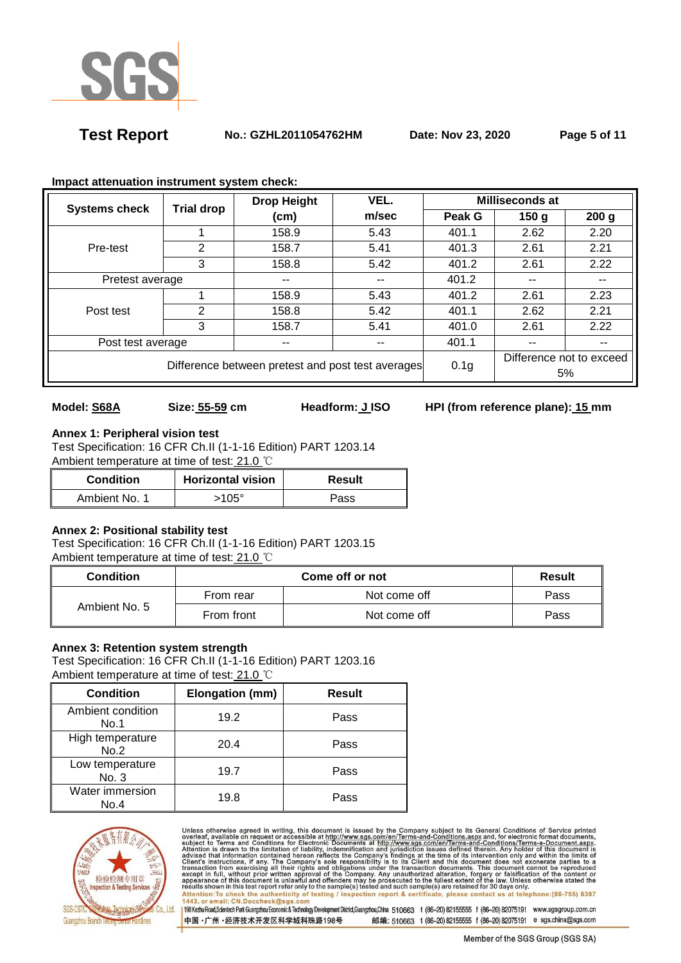

**Test Report No.: GZHL2011054762HM Date: Nov 23, 2020 Page 5 of 11** 

|                                                   | <b>Trial drop</b> | VEL.<br><b>Drop Height</b> |                          | Milliseconds at |                          |                  |
|---------------------------------------------------|-------------------|----------------------------|--------------------------|-----------------|--------------------------|------------------|
| <b>Systems check</b>                              |                   | (cm)                       | m/sec                    | Peak G          | 150 <sub>q</sub>         | 200 <sub>g</sub> |
|                                                   |                   | 158.9                      | 5.43                     | 401.1           | 2.62                     | 2.20             |
| Pre-test                                          | 2                 | 158.7                      | 5.41                     | 401.3           | 2.61                     | 2.21             |
|                                                   | 3                 | 158.8                      | 5.42                     | 401.2           | 2.61                     | 2.22             |
|                                                   | Pretest average   |                            | $\overline{\phantom{a}}$ | 401.2           | --                       | $- -$            |
|                                                   |                   | 158.9                      | 5.43                     | 401.2           | 2.61                     | 2.23             |
| Post test                                         | 2                 | 158.8                      | 5.42                     | 401.1           | 2.62                     | 2.21             |
|                                                   | 3                 | 158.7                      | 5.41                     | 401.0           | 2.61                     | 2.22             |
| Post test average                                 |                   | --                         | $- -$                    | 401.1           | --                       |                  |
| Difference between pretest and post test averages |                   |                            | 0.1 <sub>g</sub>         |                 | Difference not to exceed |                  |
|                                                   |                   |                            |                          |                 | 5%                       |                  |

### **Impact attenuation instrument system check:**

# **Model: S68A Size: 55-59 cm Headform: J ISO HPI (from reference plane): 15 mm**

# **Annex 1: Peripheral vision test**

Test Specification: 16 CFR Ch.II (1-1-16 Edition) PART 1203.14 Ambient temperature at time of test: 21.0 ℃

| <b>Condition</b> | <b>Horizontal vision</b> | Result |
|------------------|--------------------------|--------|
| Ambient No. 1    | 105°ء                    | Pass   |

## **Annex 2: Positional stability test**

Test Specification: 16 CFR Ch.II (1-1-16 Edition) PART 1203.15 Ambient temperature at time of test: 21.0 ℃

| Condition     |            | <b>Result</b> |      |
|---------------|------------|---------------|------|
| Ambient No. 5 | From rear  | Not come off  | Pass |
|               | From front | Not come off  | Pass |

## **Annex 3: Retention system strength**

Test Specification: 16 CFR Ch.II (1-1-16 Edition) PART 1203.16 Ambient temperature at time of test: 21.0 ℃

| <b>Condition</b>          | Elongation (mm) | <b>Result</b> |
|---------------------------|-----------------|---------------|
| Ambient condition<br>No.1 | 19.2            | Pass          |
| High temperature<br>No.2  | 20.4            | Pass          |
| Low temperature<br>No. 3  | 19.7            | Pass          |
| Water immersion<br>No.4   | 19.8            | Pass          |



Unless otherwise agreed in writing, this document is issued by the Company subject to its General Conditions of Service printed<br>overleaf, available on request or accessible at http://www.sgs.com/en/Terms-and-Conditions.asp Attention: To check the authenticity of testing / inspection report & certificate, please contact us at telephone: (86-755) 8307<br>1443, or email: CN.Doccheck@sgs.com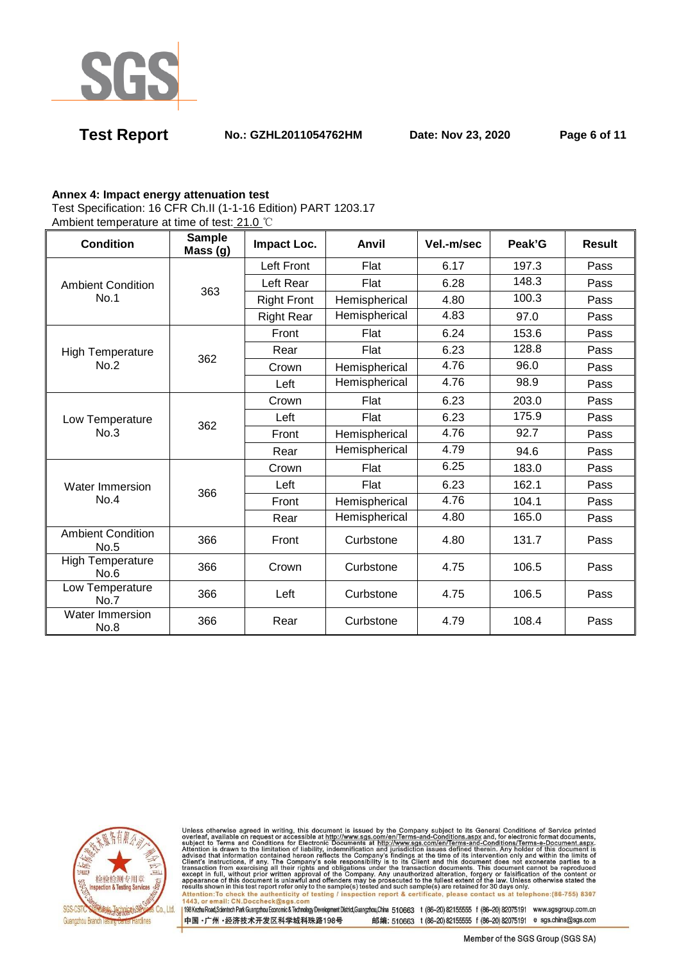

**Test Report No.: GZHL2011054762HM Date: Nov 23, 2020 Page 6 of 11** 

### **Annex 4: Impact energy attenuation test**

Test Specification: 16 CFR Ch.II (1-1-16 Edition) PART 1203.17

Ambient temperature at time of test: 21.0 ℃

| <b>Condition</b>                 | <b>Sample</b><br>Mass (g) | Impact Loc.        | Anvil         | Vel.-m/sec | Peak'G | <b>Result</b> |
|----------------------------------|---------------------------|--------------------|---------------|------------|--------|---------------|
|                                  |                           | Left Front         | Flat          | 6.17       | 197.3  | Pass          |
| <b>Ambient Condition</b>         | 363                       | Left Rear          | Flat          | 6.28       | 148.3  | Pass          |
| No.1                             |                           | <b>Right Front</b> | Hemispherical | 4.80       | 100.3  | Pass          |
|                                  |                           | <b>Right Rear</b>  | Hemispherical | 4.83       | 97.0   | Pass          |
|                                  |                           | Front              | Flat          | 6.24       | 153.6  | Pass          |
| <b>High Temperature</b>          | 362                       | Rear               | Flat          | 6.23       | 128.8  | Pass          |
| No.2                             |                           | Crown              | Hemispherical | 4.76       | 96.0   | Pass          |
|                                  |                           | Left               | Hemispherical | 4.76       | 98.9   | Pass          |
|                                  | 362                       | Crown              | Flat          | 6.23       | 203.0  | Pass          |
| Low Temperature                  |                           | Left               | Flat          | 6.23       | 175.9  | Pass          |
| No.3                             |                           | Front              | Hemispherical | 4.76       | 92.7   | Pass          |
|                                  |                           | Rear               | Hemispherical | 4.79       | 94.6   | Pass          |
| Water Immersion                  | 366                       | Crown              | Flat          | 6.25       | 183.0  | Pass          |
|                                  |                           | Left               | Flat          | 6.23       | 162.1  | Pass          |
| No.4                             |                           | Front              | Hemispherical | 4.76       | 104.1  | Pass          |
|                                  |                           | Rear               | Hemispherical | 4.80       | 165.0  | Pass          |
| <b>Ambient Condition</b><br>No.5 | 366                       | Front              | Curbstone     | 4.80       | 131.7  | Pass          |
| <b>High Temperature</b><br>No.6  | 366                       | Crown              | Curbstone     | 4.75       | 106.5  | Pass          |
| Low Temperature<br>No.7          | 366                       | Left               | Curbstone     | 4.75       | 106.5  | Pass          |
| Water Immersion<br>No.8          | 366                       | Rear               | Curbstone     | 4.79       | 108.4  | Pass          |



Unless otherwise agreed in writing, this document is issued by the Company subject to its General Conditions of Service printed<br>overleaf, available on request or accessible at http://www.sgs.com/en/Terms-and-Conditions.asp Attention: To check the authenticity of testing / inspection report & certificate, please contact us at telephone: (86-755) 8307<br>1443, or email: CN.Doccheck@sgs.com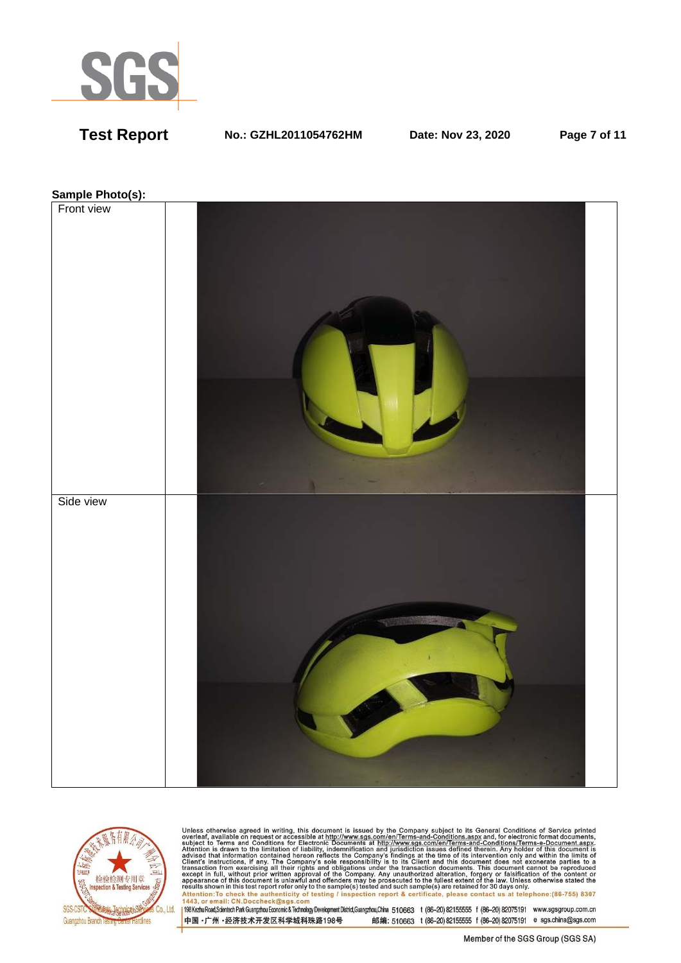

**Test Report No.: GZHL2011054762HM Date: Nov 23, 2020 Page 7 of 11** 

### **Sample Photo(s):**





Unless otherwise agreed in writing, this document is issued by the Company subject to its General Conditions of Service printed<br>overleaf, available on request or accessible at http://www.sgs.com/en/Terms-and-Conditions.asp resums shown in una essere point eneroiny to une samplets) rester and such samplets are retained to 50 usys omn<br>Attention:To check the authenticity of testing / inspection report & certificate, please contact us at telep

中国·广州·经济技术开发区科学城科珠路198号 邮编: 510663 t (86-20) 82155555 f (86-20) 82075191 e sgs.china@sgs.com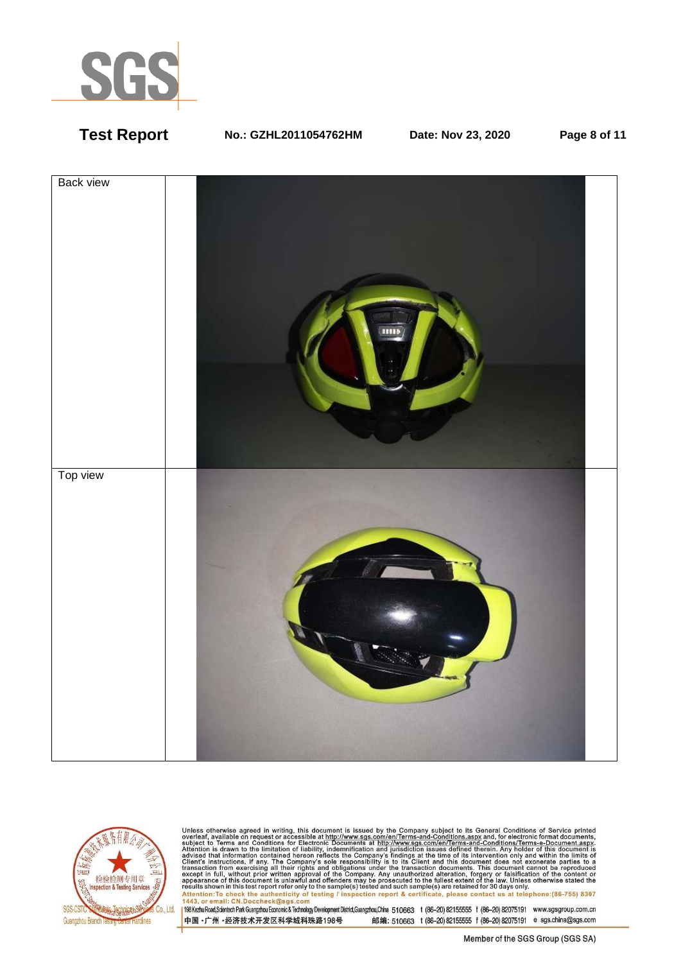

# **Test Report No.: GZHL2011054762HM Date: Nov 23, 2020 Page 8 of 11**





Unless otherwise agreed in writing, this document is issued by the Company subject to its General Conditions of Service printed<br>overleaf, available on request or accessible at http://www.sgs.com/en/Terms-and-Conditions.as resums shown in una essere point eneroiny to une samplets) rester and such samplets are retained to 50 usys omn<br>Attention:To check the authenticity of testing / inspection report & certificate, please contact us at telep

中国·广州·经济技术开发区科学城科珠路198号 邮编: 510663 t (86-20) 82155555 f (86-20) 82075191 e sgs.china@sgs.com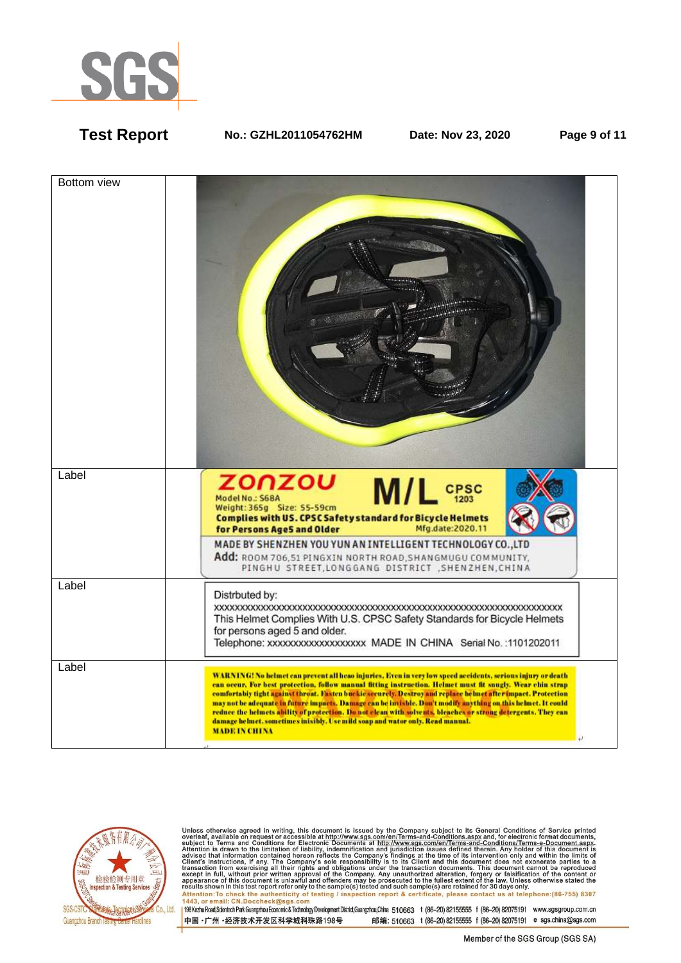

**Test Report No.: GZHL2011054762HM Date: Nov 23, 2020 Page 9 of 11** 





Unless otherwise agreed in writing, this document is issued by the Company subject to its General Conditions of Service printed<br>overleaf, available on request or accessible at http://www.sgs.com/en/Terms-and-Conditions.as Attention: To check the authenticity of testing / inspection report & certificate, please contact us at telephone: (86-755) 8307<br>1443, or email: CN.Doccheck@sgs.com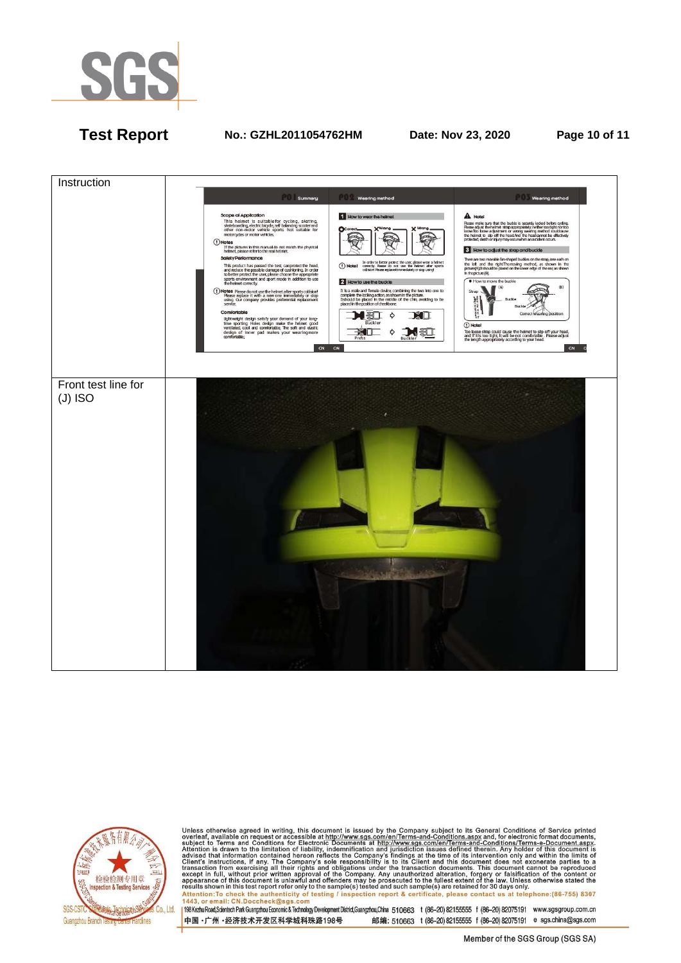

# **Test Report No.: GZHL2011054762HM Date: Nov 23, 2020 Page 10 of 11**





Unless otherwise agreed in writing, this document is issued by the Company subject to its General Conditions of Service printed<br>overleaf, available on request or accessible at http://www.sgs.com/en/Terms-and-Conditions.asp results shown in this test report refer only to the sample(s) tested and such sample(s) are retained for 30 days only.<br>Attention:To check the authenticity of testing / inspection report & certificate, please contact us at